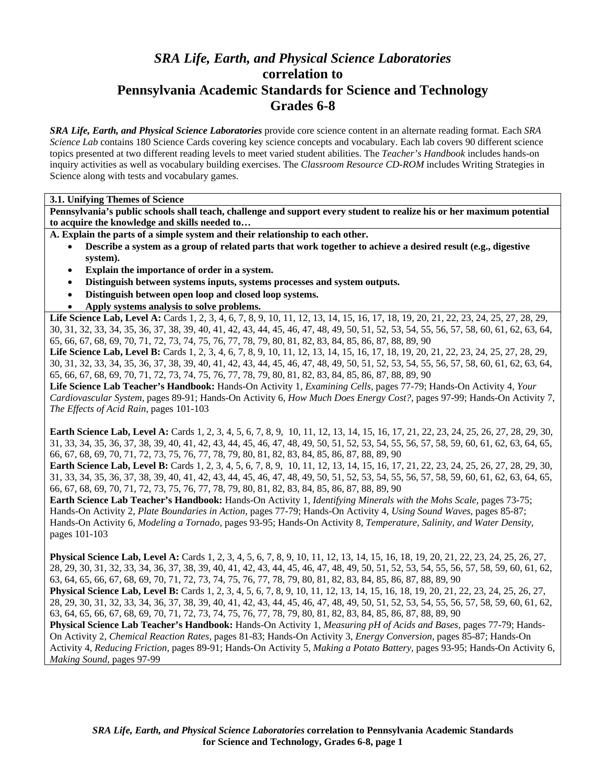# *SRA Life, Earth, and Physical Science Laboratories*  **correlation to Pennsylvania Academic Standards for Science and Technology Grades 6-8**

*SRA Life, Earth, and Physical Science Laboratories* provide core science content in an alternate reading format. Each *SRA Science Lab* contains 180 Science Cards covering key science concepts and vocabulary. Each lab covers 90 different science topics presented at two different reading levels to meet varied student abilities. The *Teacher's Handbook* includes hands-on inquiry activities as well as vocabulary building exercises. The *Classroom Resource CD-ROM* includes Writing Strategies in Science along with tests and vocabulary games.

**3.1. Unifying Themes of Science** 

**Pennsylvania's public schools shall teach, challenge and support every student to realize his or her maximum potential to acquire the knowledge and skills needed to…** 

**A. Explain the parts of a simple system and their relationship to each other.** 

- **Describe a system as a group of related parts that work together to achieve a desired result (e.g., digestive system).**
- **Explain the importance of order in a system.**
- **Distinguish between systems inputs, systems processes and system outputs.**
- **Distinguish between open loop and closed loop systems.**
- **Apply systems analysis to solve problems.**

Life Science Lab, Level A: Cards 1, 2, 3, 4, 6, 7, 8, 9, 10, 11, 12, 13, 14, 15, 16, 17, 18, 19, 20, 21, 22, 23, 24, 25, 27, 28, 29, 30, 31, 32, 33, 34, 35, 36, 37, 38, 39, 40, 41, 42, 43, 44, 45, 46, 47, 48, 49, 50, 51, 52, 53, 54, 55, 56, 57, 58, 60, 61, 62, 63, 64, 65, 66, 67, 68, 69, 70, 71, 72, 73, 74, 75, 76, 77, 78, 79, 80, 81, 82, 83, 84, 85, 86, 87, 88, 89, 90

Life Science Lab, Level B: Cards 1, 2, 3, 4, 6, 7, 8, 9, 10, 11, 12, 13, 14, 15, 16, 17, 18, 19, 20, 21, 22, 23, 24, 25, 27, 28, 29, 30, 31, 32, 33, 34, 35, 36, 37, 38, 39, 40, 41, 42, 43, 44, 45, 46, 47, 48, 49, 50, 51, 52, 53, 54, 55, 56, 57, 58, 60, 61, 62, 63, 64, 65, 66, 67, 68, 69, 70, 71, 72, 73, 74, 75, 76, 77, 78, 79, 80, 81, 82, 83, 84, 85, 86, 87, 88, 89, 90

**Life Science Lab Teacher's Handbook:** Hands-On Activity 1, *Examining Cells,* pages 77-79; Hands-On Activity 4, *Your Cardiovascular System,* pages 89-91; Hands-On Activity 6, *How Much Does Energy Cost?,* pages 97-99; Hands-On Activity 7, *The Effects of Acid Rain,* pages 101-103

**Earth Science Lab, Level A:** Cards 1, 2, 3, 4, 5, 6, 7, 8, 9, 10, 11, 12, 13, 14, 15, 16, 17, 21, 22, 23, 24, 25, 26, 27, 28, 29, 30, 31, 33, 34, 35, 36, 37, 38, 39, 40, 41, 42, 43, 44, 45, 46, 47, 48, 49, 50, 51, 52, 53, 54, 55, 56, 57, 58, 59, 60, 61, 62, 63, 64, 65, 66, 67, 68, 69, 70, 71, 72, 73, 75, 76, 77, 78, 79, 80, 81, 82, 83, 84, 85, 86, 87, 88, 89, 90

**Earth Science Lab, Level B:** Cards 1, 2, 3, 4, 5, 6, 7, 8, 9, 10, 11, 12, 13, 14, 15, 16, 17, 21, 22, 23, 24, 25, 26, 27, 28, 29, 30, 31, 33, 34, 35, 36, 37, 38, 39, 40, 41, 42, 43, 44, 45, 46, 47, 48, 49, 50, 51, 52, 53, 54, 55, 56, 57, 58, 59, 60, 61, 62, 63, 64, 65, 66, 67, 68, 69, 70, 71, 72, 73, 75, 76, 77, 78, 79, 80, 81, 82, 83, 84, 85, 86, 87, 88, 89, 90

**Earth Science Lab Teacher's Handbook:** Hands-On Activity 1, *Identifying Minerals with the Mohs Scale,* pages 73-75; Hands-On Activity 2, *Plate Boundaries in Action,* pages 77-79; Hands-On Activity 4, *Using Sound Waves,* pages 85-87; Hands-On Activity 6, *Modeling a Tornado,* pages 93-95; Hands-On Activity 8, *Temperature, Salinity, and Water Density,* pages 101-103

**Physical Science Lab, Level A:** Cards 1, 2, 3, 4, 5, 6, 7, 8, 9, 10, 11, 12, 13, 14, 15, 16, 18, 19, 20, 21, 22, 23, 24, 25, 26, 27, 28, 29, 30, 31, 32, 33, 34, 36, 37, 38, 39, 40, 41, 42, 43, 44, 45, 46, 47, 48, 49, 50, 51, 52, 53, 54, 55, 56, 57, 58, 59, 60, 61, 62, 63, 64, 65, 66, 67, 68, 69, 70, 71, 72, 73, 74, 75, 76, 77, 78, 79, 80, 81, 82, 83, 84, 85, 86, 87, 88, 89, 90 **Physical Science Lab, Level B:** Cards 1, 2, 3, 4, 5, 6, 7, 8, 9, 10, 11, 12, 13, 14, 15, 16, 18, 19, 20, 21, 22, 23, 24, 25, 26, 27, 28, 29, 30, 31, 32, 33, 34, 36, 37, 38, 39, 40, 41, 42, 43, 44, 45, 46, 47, 48, 49, 50, 51, 52, 53, 54, 55, 56, 57, 58, 59, 60, 61, 62, 63, 64, 65, 66, 67, 68, 69, 70, 71, 72, 73, 74, 75, 76, 77, 78, 79, 80, 81, 82, 83, 84, 85, 86, 87, 88, 89, 90 **Physical Science Lab Teacher's Handbook:** Hands-On Activity 1, *Measuring pH of Acids and Bases,* pages 77-79; Hands-On Activity 2, *Chemical Reaction Rates,* pages 81-83; Hands-On Activity 3, *Energy Conversion,* pages 85-87; Hands-On Activity 4, *Reducing Friction,* pages 89-91; Hands-On Activity 5, *Making a Potato Battery,* pages 93-95; Hands-On Activity 6,

*Making Sound,* pages 97-99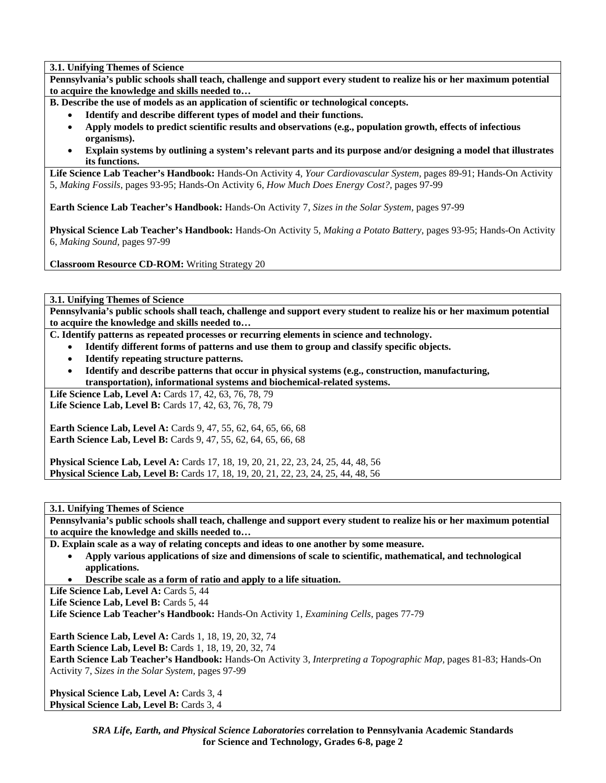**3.1. Unifying Themes of Science** 

**Pennsylvania's public schools shall teach, challenge and support every student to realize his or her maximum potential to acquire the knowledge and skills needed to…** 

**B. Describe the use of models as an application of scientific or technological concepts.** 

- **Identify and describe different types of model and their functions.**
- **Apply models to predict scientific results and observations (e.g., population growth, effects of infectious organisms).**
- **Explain systems by outlining a system's relevant parts and its purpose and/or designing a model that illustrates its functions.**

**Life Science Lab Teacher's Handbook:** Hands-On Activity 4, *Your Cardiovascular System,* pages 89-91; Hands-On Activity 5, *Making Fossils,* pages 93-95; Hands-On Activity 6, *How Much Does Energy Cost?,* pages 97-99

**Earth Science Lab Teacher's Handbook:** Hands-On Activity 7, *Sizes in the Solar System,* pages 97-99

**Physical Science Lab Teacher's Handbook:** Hands-On Activity 5, *Making a Potato Battery,* pages 93-95; Hands-On Activity 6, *Making Sound,* pages 97-99

**Classroom Resource CD-ROM:** Writing Strategy 20

**3.1. Unifying Themes of Science** 

**Pennsylvania's public schools shall teach, challenge and support every student to realize his or her maximum potential to acquire the knowledge and skills needed to…** 

**C. Identify patterns as repeated processes or recurring elements in science and technology.** 

- **Identify different forms of patterns and use them to group and classify specific objects.**
- **Identify repeating structure patterns.**
- **Identify and describe patterns that occur in physical systems (e.g., construction, manufacturing, transportation), informational systems and biochemical-related systems.**

**Life Science Lab, Level A: Cards 17, 42, 63, 76, 78, 79** Life Science Lab, Level B: Cards 17, 42, 63, 76, 78, 79

**Earth Science Lab, Level A:** Cards 9, 47, 55, 62, 64, 65, 66, 68 **Earth Science Lab, Level B:** Cards 9, 47, 55, 62, 64, 65, 66, 68

**Physical Science Lab, Level A:** Cards 17, 18, 19, 20, 21, 22, 23, 24, 25, 44, 48, 56 **Physical Science Lab, Level B:** Cards 17, 18, 19, 20, 21, 22, 23, 24, 25, 44, 48, 56

**3.1. Unifying Themes of Science** 

**Pennsylvania's public schools shall teach, challenge and support every student to realize his or her maximum potential to acquire the knowledge and skills needed to…** 

**D. Explain scale as a way of relating concepts and ideas to one another by some measure.** 

- **Apply various applications of size and dimensions of scale to scientific, mathematical, and technological applications.**
- **Describe scale as a form of ratio and apply to a life situation.**

Life Science Lab, Level A: Cards 5, 44

Life Science Lab, Level B: Cards 5, 44

**Life Science Lab Teacher's Handbook:** Hands-On Activity 1, *Examining Cells,* pages 77-79

**Earth Science Lab, Level A: Cards 1, 18, 19, 20, 32, 74** 

**Earth Science Lab, Level B: Cards 1, 18, 19, 20, 32, 74** 

**Earth Science Lab Teacher's Handbook:** Hands-On Activity 3, *Interpreting a Topographic Map,* pages 81-83; Hands-On Activity 7, *Sizes in the Solar System,* pages 97-99

**Physical Science Lab, Level A: Cards 3, 4 Physical Science Lab, Level B: Cards 3, 4**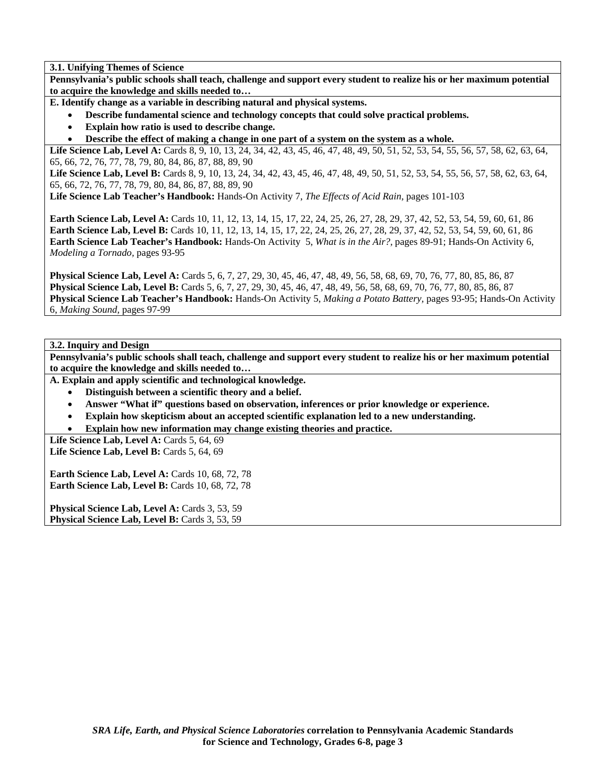**3.1. Unifying Themes of Science** 

**Pennsylvania's public schools shall teach, challenge and support every student to realize his or her maximum potential to acquire the knowledge and skills needed to…** 

**E. Identify change as a variable in describing natural and physical systems.** 

- **Describe fundamental science and technology concepts that could solve practical problems.**
- **Explain how ratio is used to describe change.**
- **Describe the effect of making a change in one part of a system on the system as a whole.**

Life Science Lab, Level A: Cards 8, 9, 10, 13, 24, 34, 42, 43, 45, 46, 47, 48, 49, 50, 51, 52, 53, 54, 55, 56, 57, 58, 62, 63, 64, 65, 66, 72, 76, 77, 78, 79, 80, 84, 86, 87, 88, 89, 90

Life Science Lab, Level B: Cards 8, 9, 10, 13, 24, 34, 42, 43, 45, 46, 47, 48, 49, 50, 51, 52, 53, 54, 55, 56, 57, 58, 62, 63, 64, 65, 66, 72, 76, 77, 78, 79, 80, 84, 86, 87, 88, 89, 90

**Life Science Lab Teacher's Handbook:** Hands-On Activity 7, *The Effects of Acid Rain,* pages 101-103

**Earth Science Lab, Level A:** Cards 10, 11, 12, 13, 14, 15, 17, 22, 24, 25, 26, 27, 28, 29, 37, 42, 52, 53, 54, 59, 60, 61, 86 **Earth Science Lab, Level B:** Cards 10, 11, 12, 13, 14, 15, 17, 22, 24, 25, 26, 27, 28, 29, 37, 42, 52, 53, 54, 59, 60, 61, 86 **Earth Science Lab Teacher's Handbook:** Hands-On Activity 5, *What is in the Air?,* pages 89-91; Hands-On Activity 6, *Modeling a Tornado,* pages 93-95

**Physical Science Lab, Level A:** Cards 5, 6, 7, 27, 29, 30, 45, 46, 47, 48, 49, 56, 58, 68, 69, 70, 76, 77, 80, 85, 86, 87 **Physical Science Lab, Level B:** Cards 5, 6, 7, 27, 29, 30, 45, 46, 47, 48, 49, 56, 58, 68, 69, 70, 76, 77, 80, 85, 86, 87 **Physical Science Lab Teacher's Handbook:** Hands-On Activity 5, *Making a Potato Battery,* pages 93-95; Hands-On Activity 6, *Making Sound,* pages 97-99

# **3.2. Inquiry and Design**

**Pennsylvania's public schools shall teach, challenge and support every student to realize his or her maximum potential to acquire the knowledge and skills needed to…** 

**A. Explain and apply scientific and technological knowledge.** 

- **Distinguish between a scientific theory and a belief.**
- **Answer "What if" questions based on observation, inferences or prior knowledge or experience.**
- **Explain how skepticism about an accepted scientific explanation led to a new understanding.**
- **Explain how new information may change existing theories and practice.**

Life Science Lab, Level A: Cards 5, 64, 69 **Life Science Lab, Level B: Cards 5, 64, 69** 

**Earth Science Lab, Level A: Cards 10, 68, 72, 78 Earth Science Lab, Level B: Cards 10, 68, 72, 78** 

**Physical Science Lab, Level A: Cards 3, 53, 59 Physical Science Lab, Level B: Cards 3, 53, 59**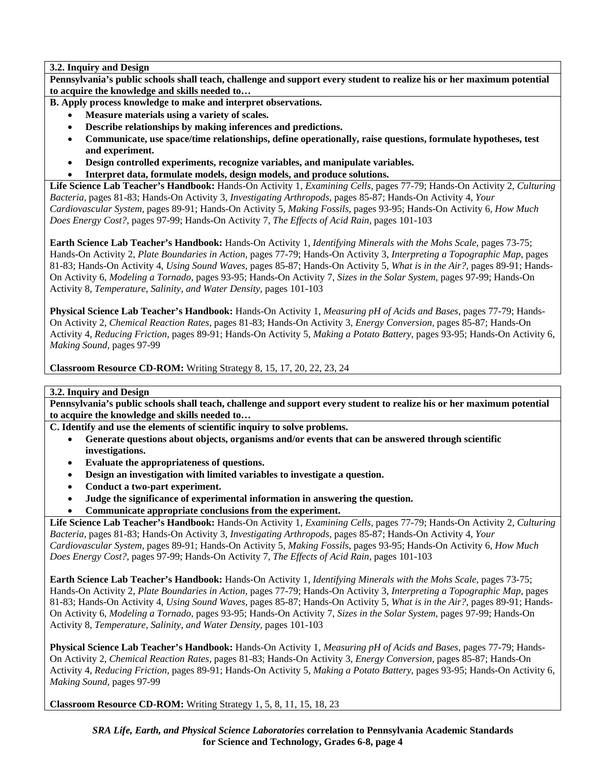# **3.2. Inquiry and Design**

**Pennsylvania's public schools shall teach, challenge and support every student to realize his or her maximum potential to acquire the knowledge and skills needed to…** 

**B. Apply process knowledge to make and interpret observations.** 

- **Measure materials using a variety of scales.**
- **Describe relationships by making inferences and predictions.**
- **Communicate, use space/time relationships, define operationally, raise questions, formulate hypotheses, test and experiment.**
- **Design controlled experiments, recognize variables, and manipulate variables.**
- **Interpret data, formulate models, design models, and produce solutions.**

**Life Science Lab Teacher's Handbook:** Hands-On Activity 1, *Examining Cells,* pages 77-79; Hands-On Activity 2, *Culturing Bacteria,* pages 81-83; Hands-On Activity 3, *Investigating Arthropods,* pages 85-87; Hands-On Activity 4, *Your Cardiovascular System,* pages 89-91; Hands-On Activity 5, *Making Fossils,* pages 93-95; Hands-On Activity 6, *How Much Does Energy Cost?,* pages 97-99; Hands-On Activity 7, *The Effects of Acid Rain,* pages 101-103

**Earth Science Lab Teacher's Handbook:** Hands-On Activity 1, *Identifying Minerals with the Mohs Scale,* pages 73-75; Hands-On Activity 2, *Plate Boundaries in Action,* pages 77-79; Hands-On Activity 3, *Interpreting a Topographic Map,* pages 81-83; Hands-On Activity 4, *Using Sound Waves,* pages 85-87; Hands-On Activity 5, *What is in the Air?,* pages 89-91; Hands-On Activity 6, *Modeling a Tornado,* pages 93-95; Hands-On Activity 7, *Sizes in the Solar System,* pages 97-99; Hands-On Activity 8, *Temperature, Salinity, and Water Density,* pages 101-103

**Physical Science Lab Teacher's Handbook:** Hands-On Activity 1, *Measuring pH of Acids and Bases,* pages 77-79; Hands-On Activity 2, *Chemical Reaction Rates,* pages 81-83; Hands-On Activity 3, *Energy Conversion,* pages 85-87; Hands-On Activity 4, *Reducing Friction,* pages 89-91; Hands-On Activity 5, *Making a Potato Battery,* pages 93-95; Hands-On Activity 6, *Making Sound,* pages 97-99

**Classroom Resource CD-ROM:** Writing Strategy 8, 15, 17, 20, 22, 23, 24

# **3.2. Inquiry and Design**

**Pennsylvania's public schools shall teach, challenge and support every student to realize his or her maximum potential to acquire the knowledge and skills needed to…** 

**C. Identify and use the elements of scientific inquiry to solve problems.** 

- **Generate questions about objects, organisms and/or events that can be answered through scientific investigations.**
- **Evaluate the appropriateness of questions.**
- **Design an investigation with limited variables to investigate a question.**
- **Conduct a two-part experiment.**
- **Judge the significance of experimental information in answering the question.**
- **Communicate appropriate conclusions from the experiment.**

**Life Science Lab Teacher's Handbook:** Hands-On Activity 1, *Examining Cells,* pages 77-79; Hands-On Activity 2, *Culturing Bacteria,* pages 81-83; Hands-On Activity 3, *Investigating Arthropods,* pages 85-87; Hands-On Activity 4, *Your Cardiovascular System,* pages 89-91; Hands-On Activity 5, *Making Fossils,* pages 93-95; Hands-On Activity 6, *How Much Does Energy Cost?,* pages 97-99; Hands-On Activity 7, *The Effects of Acid Rain,* pages 101-103

**Earth Science Lab Teacher's Handbook:** Hands-On Activity 1, *Identifying Minerals with the Mohs Scale,* pages 73-75; Hands-On Activity 2, *Plate Boundaries in Action,* pages 77-79; Hands-On Activity 3, *Interpreting a Topographic Map,* pages 81-83; Hands-On Activity 4, *Using Sound Waves,* pages 85-87; Hands-On Activity 5, *What is in the Air?,* pages 89-91; Hands-On Activity 6, *Modeling a Tornado,* pages 93-95; Hands-On Activity 7, *Sizes in the Solar System,* pages 97-99; Hands-On Activity 8, *Temperature, Salinity, and Water Density,* pages 101-103

**Physical Science Lab Teacher's Handbook:** Hands-On Activity 1, *Measuring pH of Acids and Bases,* pages 77-79; Hands-On Activity 2, *Chemical Reaction Rates,* pages 81-83; Hands-On Activity 3, *Energy Conversion,* pages 85-87; Hands-On Activity 4, *Reducing Friction,* pages 89-91; Hands-On Activity 5, *Making a Potato Battery,* pages 93-95; Hands-On Activity 6, *Making Sound,* pages 97-99

**Classroom Resource CD-ROM:** Writing Strategy 1, 5, 8, 11, 15, 18, 23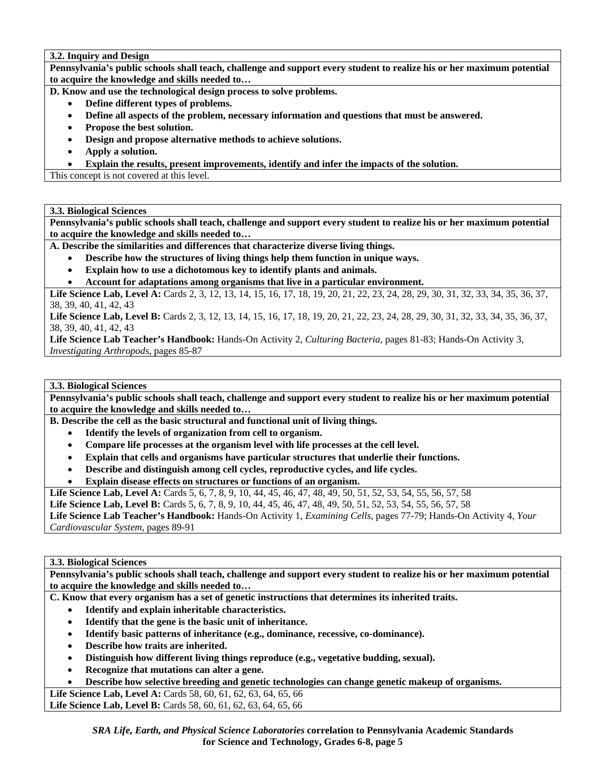**3.2. Inquiry and Design** 

**Pennsylvania's public schools shall teach, challenge and support every student to realize his or her maximum potential to acquire the knowledge and skills needed to…** 

**D. Know and use the technological design process to solve problems.** 

- **Define different types of problems.**
- **Define all aspects of the problem, necessary information and questions that must be answered.**
- **Propose the best solution.**
- **Design and propose alternative methods to achieve solutions.**
- **Apply a solution.**
- **Explain the results, present improvements, identify and infer the impacts of the solution.**

This concept is not covered at this level.

**3.3. Biological Sciences** 

**Pennsylvania's public schools shall teach, challenge and support every student to realize his or her maximum potential to acquire the knowledge and skills needed to…** 

**A. Describe the similarities and differences that characterize diverse living things.** 

- **Describe how the structures of living things help them function in unique ways.**
- **Explain how to use a dichotomous key to identify plants and animals.**
- **Account for adaptations among organisms that live in a particular environment.**

Life Science Lab, Level A: Cards 2, 3, 12, 13, 14, 15, 16, 17, 18, 19, 20, 21, 22, 23, 24, 28, 29, 30, 31, 32, 33, 34, 35, 36, 37, 38, 39, 40, 41, 42, 43

Life Science Lab, Level B: Cards 2, 3, 12, 13, 14, 15, 16, 17, 18, 19, 20, 21, 22, 23, 24, 28, 29, 30, 31, 32, 33, 34, 35, 36, 37, 38, 39, 40, 41, 42, 43

**Life Science Lab Teacher's Handbook:** Hands-On Activity 2, *Culturing Bacteria,* pages 81-83; Hands-On Activity 3, *Investigating Arthropods,* pages 85-87

## **3.3. Biological Sciences**

**Pennsylvania's public schools shall teach, challenge and support every student to realize his or her maximum potential to acquire the knowledge and skills needed to…** 

**B. Describe the cell as the basic structural and functional unit of living things.** 

- **Identify the levels of organization from cell to organism.**
- **Compare life processes at the organism level with life processes at the cell level.**
- **Explain that cells and organisms have particular structures that underlie their functions.**
- **Describe and distinguish among cell cycles, reproductive cycles, and life cycles.**
- **Explain disease effects on structures or functions of an organism.**

**Life Science Lab, Level A:** Cards 5, 6, 7, 8, 9, 10, 44, 45, 46, 47, 48, 49, 50, 51, 52, 53, 54, 55, 56, 57, 58

**Life Science Lab, Level B:** Cards 5, 6, 7, 8, 9, 10, 44, 45, 46, 47, 48, 49, 50, 51, 52, 53, 54, 55, 56, 57, 58

**Life Science Lab Teacher's Handbook:** Hands-On Activity 1, *Examining Cells,* pages 77-79; Hands-On Activity 4, *Your Cardiovascular System,* pages 89-91

#### **3.3. Biological Sciences**

**Pennsylvania's public schools shall teach, challenge and support every student to realize his or her maximum potential to acquire the knowledge and skills needed to…** 

**C. Know that every organism has a set of genetic instructions that determines its inherited traits.** 

- **Identify and explain inheritable characteristics.**
- **Identify that the gene is the basic unit of inheritance.**
- **Identify basic patterns of inheritance (e.g., dominance, recessive, co-dominance).**
- **Describe how traits are inherited.**
- **Distinguish how different living things reproduce (e.g., vegetative budding, sexual).**
- **Recognize that mutations can alter a gene.**
- **Describe how selective breeding and genetic technologies can change genetic makeup of organisms.**

**Life Science Lab, Level A:** Cards 58, 60, 61, 62, 63, 64, 65, 66 **Life Science Lab, Level B:** Cards 58, 60, 61, 62, 63, 64, 65, 66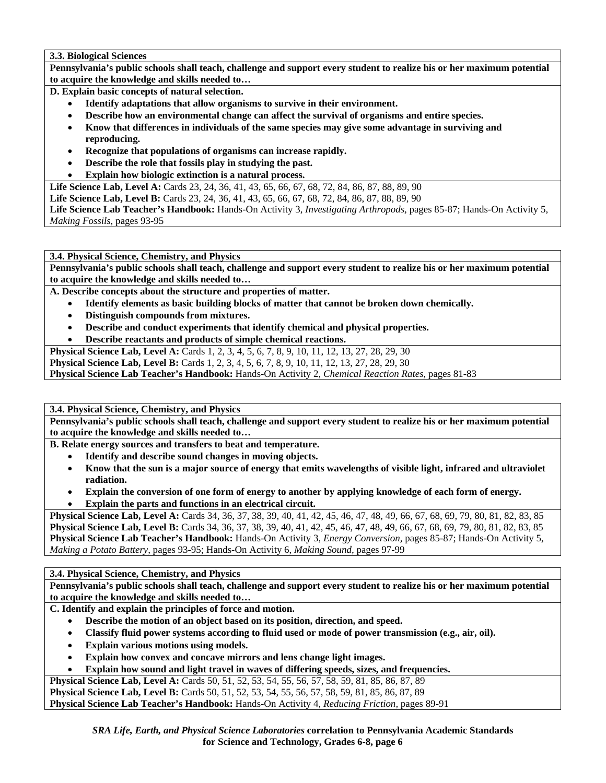**3.3. Biological Sciences** 

**Pennsylvania's public schools shall teach, challenge and support every student to realize his or her maximum potential to acquire the knowledge and skills needed to…** 

**D. Explain basic concepts of natural selection.** 

- **Identify adaptations that allow organisms to survive in their environment.**
- **Describe how an environmental change can affect the survival of organisms and entire species.**
- **Know that differences in individuals of the same species may give some advantage in surviving and reproducing.**
- **Recognize that populations of organisms can increase rapidly.**
- **Describe the role that fossils play in studying the past.**
- **Explain how biologic extinction is a natural process.**

**Life Science Lab, Level A:** Cards 23, 24, 36, 41, 43, 65, 66, 67, 68, 72, 84, 86, 87, 88, 89, 90

**Life Science Lab, Level B:** Cards 23, 24, 36, 41, 43, 65, 66, 67, 68, 72, 84, 86, 87, 88, 89, 90

**Life Science Lab Teacher's Handbook:** Hands-On Activity 3, *Investigating Arthropods,* pages 85-87; Hands-On Activity 5, *Making Fossils,* pages 93-95

**3.4. Physical Science, Chemistry, and Physics** 

**Pennsylvania's public schools shall teach, challenge and support every student to realize his or her maximum potential to acquire the knowledge and skills needed to…** 

**A. Describe concepts about the structure and properties of matter.** 

- **Identify elements as basic building blocks of matter that cannot be broken down chemically.**
- **Distinguish compounds from mixtures.**
- **Describe and conduct experiments that identify chemical and physical properties.**

• **Describe reactants and products of simple chemical reactions.** 

**Physical Science Lab, Level A:** Cards 1, 2, 3, 4, 5, 6, 7, 8, 9, 10, 11, 12, 13, 27, 28, 29, 30

**Physical Science Lab, Level B:** Cards 1, 2, 3, 4, 5, 6, 7, 8, 9, 10, 11, 12, 13, 27, 28, 29, 30

**Physical Science Lab Teacher's Handbook:** Hands-On Activity 2, *Chemical Reaction Rates,* pages 81-83

**3.4. Physical Science, Chemistry, and Physics** 

**Pennsylvania's public schools shall teach, challenge and support every student to realize his or her maximum potential to acquire the knowledge and skills needed to…** 

**B. Relate energy sources and transfers to beat and temperature.** 

- **Identify and describe sound changes in moving objects.**
- **Know that the sun is a major source of energy that emits wavelengths of visible light, infrared and ultraviolet radiation.**
- **Explain the conversion of one form of energy to another by applying knowledge of each form of energy.**
- **Explain the parts and functions in an electrical circuit.**

**Physical Science Lab, Level A:** Cards 34, 36, 37, 38, 39, 40, 41, 42, 45, 46, 47, 48, 49, 66, 67, 68, 69, 79, 80, 81, 82, 83, 85 **Physical Science Lab, Level B:** Cards 34, 36, 37, 38, 39, 40, 41, 42, 45, 46, 47, 48, 49, 66, 67, 68, 69, 79, 80, 81, 82, 83, 85 **Physical Science Lab Teacher's Handbook:** Hands-On Activity 3, *Energy Conversion,* pages 85-87; Hands-On Activity 5, *Making a Potato Battery,* pages 93-95; Hands-On Activity 6, *Making Sound,* pages 97-99

**3.4. Physical Science, Chemistry, and Physics** 

**Pennsylvania's public schools shall teach, challenge and support every student to realize his or her maximum potential to acquire the knowledge and skills needed to…** 

**C. Identify and explain the principles of force and motion.** 

- **Describe the motion of an object based on its position, direction, and speed.**
- **Classify fluid power systems according to fluid used or mode of power transmission (e.g., air, oil).**
- **Explain various motions using models.**
- **Explain how convex and concave mirrors and lens change light images.**
- **Explain how sound and light travel in waves of differing speeds, sizes, and frequencies.**

**Physical Science Lab, Level A:** Cards 50, 51, 52, 53, 54, 55, 56, 57, 58, 59, 81, 85, 86, 87, 89

**Physical Science Lab, Level B:** Cards 50, 51, 52, 53, 54, 55, 56, 57, 58, 59, 81, 85, 86, 87, 89 **Physical Science Lab Teacher's Handbook:** Hands-On Activity 4, *Reducing Friction,* pages 89-91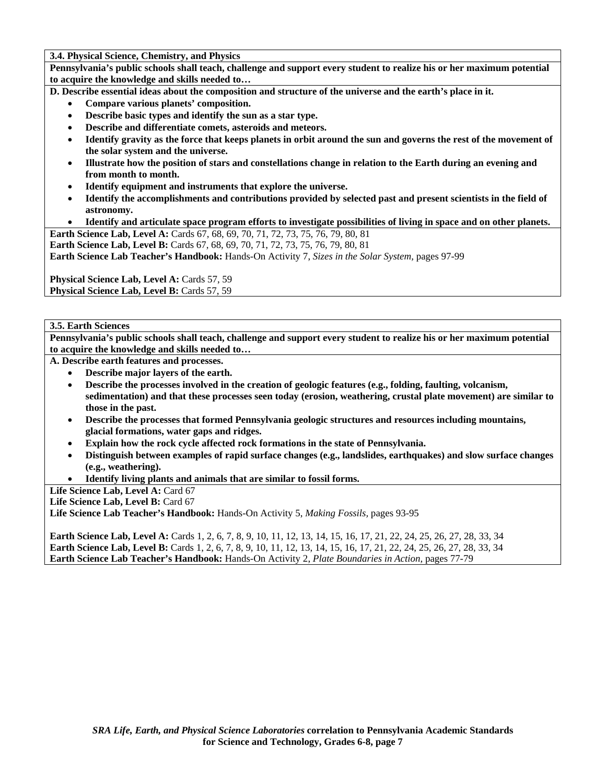**3.4. Physical Science, Chemistry, and Physics** 

**Pennsylvania's public schools shall teach, challenge and support every student to realize his or her maximum potential to acquire the knowledge and skills needed to…** 

- **D. Describe essential ideas about the composition and structure of the universe and the earth's place in it.** 
	- **Compare various planets' composition.**
	- **Describe basic types and identify the sun as a star type.**
	- **Describe and differentiate comets, asteroids and meteors.**
	- **Identify gravity as the force that keeps planets in orbit around the sun and governs the rest of the movement of the solar system and the universe.**
	- **Illustrate how the position of stars and constellations change in relation to the Earth during an evening and from month to month.**
	- **Identify equipment and instruments that explore the universe.**
	- **Identify the accomplishments and contributions provided by selected past and present scientists in the field of astronomy.**
	- **Identify and articulate space program efforts to investigate possibilities of living in space and on other planets.**

**Earth Science Lab, Level A:** Cards 67, 68, 69, 70, 71, 72, 73, 75, 76, 79, 80, 81

**Earth Science Lab, Level B:** Cards 67, 68, 69, 70, 71, 72, 73, 75, 76, 79, 80, 81

**Earth Science Lab Teacher's Handbook:** Hands-On Activity 7, *Sizes in the Solar System,* pages 97-99

**Physical Science Lab, Level A: Cards 57, 59 Physical Science Lab, Level B: Cards 57, 59** 

### **3.5. Earth Sciences**

**Pennsylvania's public schools shall teach, challenge and support every student to realize his or her maximum potential to acquire the knowledge and skills needed to…** 

**A. Describe earth features and processes.** 

- **Describe major layers of the earth.**
- **Describe the processes involved in the creation of geologic features (e.g., folding, faulting, volcanism, sedimentation) and that these processes seen today (erosion, weathering, crustal plate movement) are similar to those in the past.**
- **Describe the processes that formed Pennsylvania geologic structures and resources including mountains, glacial formations, water gaps and ridges.**
- **Explain how the rock cycle affected rock formations in the state of Pennsylvania.**
- **Distinguish between examples of rapid surface changes (e.g., landslides, earthquakes) and slow surface changes (e.g., weathering).**
- **Identify living plants and animals that are similar to fossil forms.**

Life Science Lab, Level A: Card 67

Life Science Lab, Level B: Card 67

**Life Science Lab Teacher's Handbook:** Hands-On Activity 5, *Making Fossils,* pages 93-95

**Earth Science Lab, Level A:** Cards 1, 2, 6, 7, 8, 9, 10, 11, 12, 13, 14, 15, 16, 17, 21, 22, 24, 25, 26, 27, 28, 33, 34 **Earth Science Lab, Level B:** Cards 1, 2, 6, 7, 8, 9, 10, 11, 12, 13, 14, 15, 16, 17, 21, 22, 24, 25, 26, 27, 28, 33, 34 **Earth Science Lab Teacher's Handbook:** Hands-On Activity 2, *Plate Boundaries in Action,* pages 77-79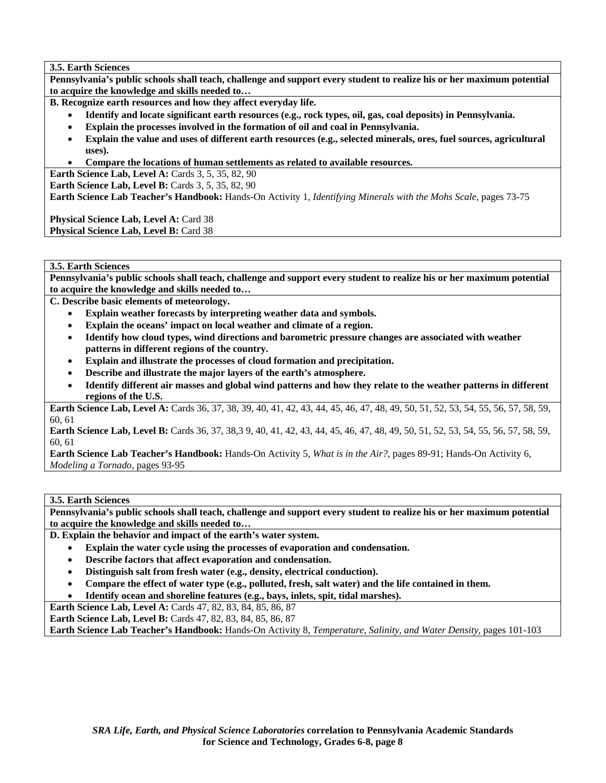**3.5. Earth Sciences** 

**Pennsylvania's public schools shall teach, challenge and support every student to realize his or her maximum potential to acquire the knowledge and skills needed to…** 

**B. Recognize earth resources and how they affect everyday life.** 

- **Identify and locate significant earth resources (e.g., rock types, oil, gas, coal deposits) in Pennsylvania.**
- **Explain the processes involved in the formation of oil and coal in Pennsylvania.**
- **Explain the value and uses of different earth resources (e.g., selected minerals, ores, fuel sources, agricultural uses).**
- **Compare the locations of human settlements as related to available resources.**

**Earth Science Lab, Level A: Cards 3, 5, 35, 82, 90** 

**Earth Science Lab, Level B:** Cards 3, 5, 35, 82, 90

**Earth Science Lab Teacher's Handbook:** Hands-On Activity 1, *Identifying Minerals with the Mohs Scale,* pages 73-75

Physical Science Lab, Level A: Card 38 Physical Science Lab, Level B: Card 38

# **3.5. Earth Sciences**

**Pennsylvania's public schools shall teach, challenge and support every student to realize his or her maximum potential to acquire the knowledge and skills needed to…** 

**C. Describe basic elements of meteorology.** 

- **Explain weather forecasts by interpreting weather data and symbols.**
- **Explain the oceans' impact on local weather and climate of a region.**
- **Identify how cloud types, wind directions and barometric pressure changes are associated with weather patterns in different regions of the country.**
- **Explain and illustrate the processes of cloud formation and precipitation.**
- **Describe and illustrate the major layers of the earth's atmosphere.**
- **Identify different air masses and global wind patterns and how they relate to the weather patterns in different regions of the U.S.**

**Earth Science Lab, Level A:** Cards 36, 37, 38, 39, 40, 41, 42, 43, 44, 45, 46, 47, 48, 49, 50, 51, 52, 53, 54, 55, 56, 57, 58, 59, 60, 61

Earth Science Lab, Level B: Cards 36, 37, 38,3 9, 40, 41, 42, 43, 44, 45, 46, 47, 48, 49, 50, 51, 52, 53, 54, 55, 56, 57, 58, 59, 60, 61

**Earth Science Lab Teacher's Handbook:** Hands-On Activity 5, *What is in the Air?,* pages 89-91; Hands-On Activity 6, *Modeling a Tornado,* pages 93-95

#### **3.5. Earth Sciences**

**Pennsylvania's public schools shall teach, challenge and support every student to realize his or her maximum potential to acquire the knowledge and skills needed to…** 

**D. Explain the behavior and impact of the earth's water system.** 

- **Explain the water cycle using the processes of evaporation and condensation.**
- **Describe factors that affect evaporation and condensation.**
- **Distinguish salt from fresh water (e.g., density, electrical conduction).**
- **Compare the effect of water type (e.g., polluted, fresh, salt water) and the life contained in them.**
- **Identify ocean and shoreline features (e.g., bays, inlets, spit, tidal marshes).**

**Earth Science Lab, Level A:** Cards 47, 82, 83, 84, 85, 86, 87

**Earth Science Lab, Level B:** Cards 47, 82, 83, 84, 85, 86, 87

**Earth Science Lab Teacher's Handbook:** Hands-On Activity 8, *Temperature, Salinity, and Water Density,* pages 101-103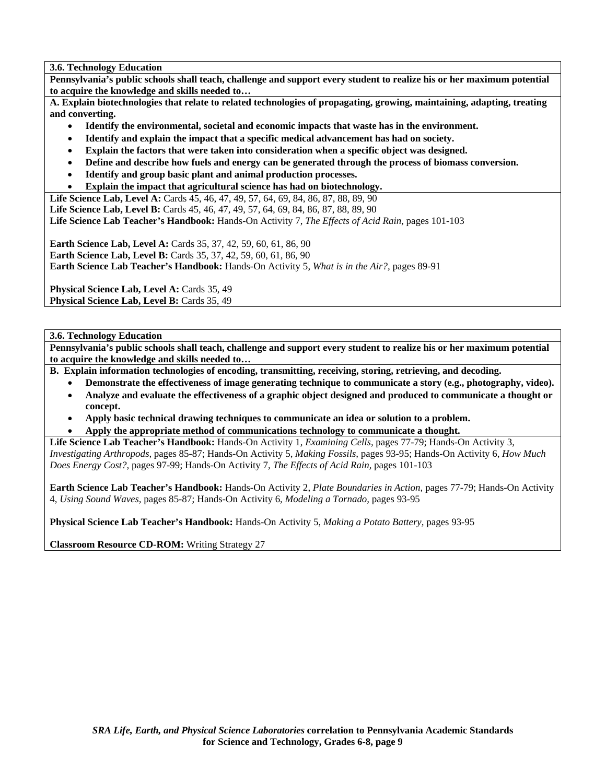**3.6. Technology Education** 

**Pennsylvania's public schools shall teach, challenge and support every student to realize his or her maximum potential to acquire the knowledge and skills needed to…** 

**A. Explain biotechnologies that relate to related technologies of propagating, growing, maintaining, adapting, treating and converting.** 

- **Identify the environmental, societal and economic impacts that waste has in the environment.**
- **Identify and explain the impact that a specific medical advancement has had on society.**
- **Explain the factors that were taken into consideration when a specific object was designed.**
- **Define and describe how fuels and energy can be generated through the process of biomass conversion.**
- **Identify and group basic plant and animal production processes.**
- **Explain the impact that agricultural science has had on biotechnology.**

**Life Science Lab, Level A:** Cards 45, 46, 47, 49, 57, 64, 69, 84, 86, 87, 88, 89, 90

**Life Science Lab, Level B:** Cards 45, 46, 47, 49, 57, 64, 69, 84, 86, 87, 88, 89, 90

**Life Science Lab Teacher's Handbook:** Hands-On Activity 7, *The Effects of Acid Rain,* pages 101-103

**Earth Science Lab, Level A:** Cards 35, 37, 42, 59, 60, 61, 86, 90 **Earth Science Lab, Level B:** Cards 35, 37, 42, 59, 60, 61, 86, 90 **Earth Science Lab Teacher's Handbook:** Hands-On Activity 5, *What is in the Air?,* pages 89-91

**Physical Science Lab, Level A: Cards 35, 49 Physical Science Lab, Level B: Cards 35, 49** 

# **3.6. Technology Education**

**Pennsylvania's public schools shall teach, challenge and support every student to realize his or her maximum potential to acquire the knowledge and skills needed to…** 

- **B. Explain information technologies of encoding, transmitting, receiving, storing, retrieving, and decoding.** 
	- **Demonstrate the effectiveness of image generating technique to communicate a story (e.g., photography, video).**
	- **Analyze and evaluate the effectiveness of a graphic object designed and produced to communicate a thought or concept.**
	- **Apply basic technical drawing techniques to communicate an idea or solution to a problem.**
	- **Apply the appropriate method of communications technology to communicate a thought.**

**Life Science Lab Teacher's Handbook:** Hands-On Activity 1, *Examining Cells,* pages 77-79; Hands-On Activity 3, *Investigating Arthropods,* pages 85-87; Hands-On Activity 5, *Making Fossils,* pages 93-95; Hands-On Activity 6, *How Much Does Energy Cost?,* pages 97-99; Hands-On Activity 7, *The Effects of Acid Rain,* pages 101-103

**Earth Science Lab Teacher's Handbook:** Hands-On Activity 2, *Plate Boundaries in Action,* pages 77-79; Hands-On Activity 4, *Using Sound Waves,* pages 85-87; Hands-On Activity 6, *Modeling a Tornado,* pages 93-95

**Physical Science Lab Teacher's Handbook:** Hands-On Activity 5, *Making a Potato Battery,* pages 93-95

**Classroom Resource CD-ROM:** Writing Strategy 27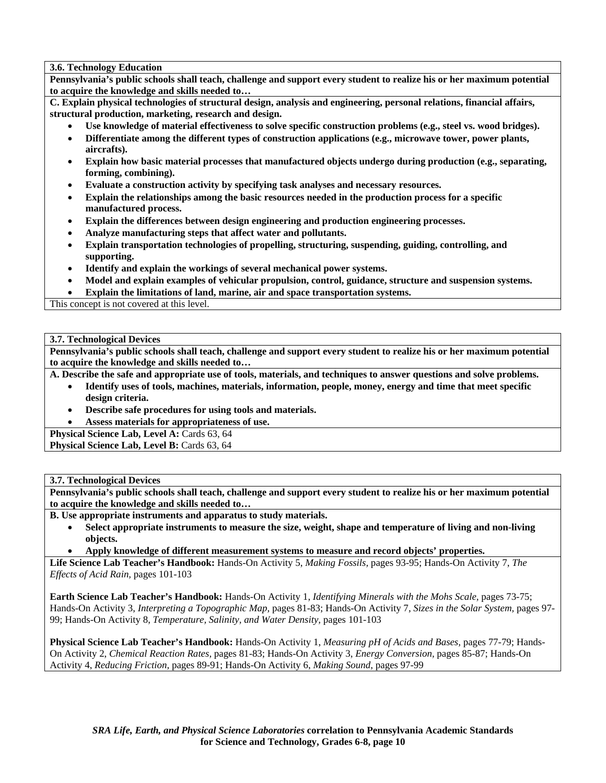# **3.6. Technology Education**

**Pennsylvania's public schools shall teach, challenge and support every student to realize his or her maximum potential to acquire the knowledge and skills needed to…** 

**C. Explain physical technologies of structural design, analysis and engineering, personal relations, financial affairs, structural production, marketing, research and design.** 

- **Use knowledge of material effectiveness to solve specific construction problems (e.g., steel vs. wood bridges).**
- **Differentiate among the different types of construction applications (e.g., microwave tower, power plants, aircrafts).**
- **Explain how basic material processes that manufactured objects undergo during production (e.g., separating, forming, combining).**
- **Evaluate a construction activity by specifying task analyses and necessary resources.**
- **Explain the relationships among the basic resources needed in the production process for a specific manufactured process.**
- **Explain the differences between design engineering and production engineering processes.**
- **Analyze manufacturing steps that affect water and pollutants.**
- **Explain transportation technologies of propelling, structuring, suspending, guiding, controlling, and supporting.**
- **Identify and explain the workings of several mechanical power systems.**
- **Model and explain examples of vehicular propulsion, control, guidance, structure and suspension systems.**
- **Explain the limitations of land, marine, air and space transportation systems.**

This concept is not covered at this level.

# **3.7. Technological Devices**

**Pennsylvania's public schools shall teach, challenge and support every student to realize his or her maximum potential to acquire the knowledge and skills needed to…** 

**A. Describe the safe and appropriate use of tools, materials, and techniques to answer questions and solve problems.** 

- **Identify uses of tools, machines, materials, information, people, money, energy and time that meet specific design criteria.**
- **Describe safe procedures for using tools and materials.**

• **Assess materials for appropriateness of use.** 

**Physical Science Lab, Level A: Cards 63, 64** 

Physical Science Lab, Level B: Cards 63, 64

# **3.7. Technological Devices**

**Pennsylvania's public schools shall teach, challenge and support every student to realize his or her maximum potential to acquire the knowledge and skills needed to…** 

- **B. Use appropriate instruments and apparatus to study materials.** 
	- **Select appropriate instruments to measure the size, weight, shape and temperature of living and non-living objects.**
	- **Apply knowledge of different measurement systems to measure and record objects' properties.**

**Life Science Lab Teacher's Handbook:** Hands-On Activity 5, *Making Fossils,* pages 93-95; Hands-On Activity 7, *The Effects of Acid Rain,* pages 101-103

**Earth Science Lab Teacher's Handbook:** Hands-On Activity 1, *Identifying Minerals with the Mohs Scale,* pages 73-75; Hands-On Activity 3, *Interpreting a Topographic Map,* pages 81-83; Hands-On Activity 7, *Sizes in the Solar System,* pages 97- 99; Hands-On Activity 8, *Temperature, Salinity, and Water Density,* pages 101-103

**Physical Science Lab Teacher's Handbook:** Hands-On Activity 1, *Measuring pH of Acids and Bases,* pages 77-79; Hands-On Activity 2, *Chemical Reaction Rates,* pages 81-83; Hands-On Activity 3, *Energy Conversion,* pages 85-87; Hands-On Activity 4, *Reducing Friction,* pages 89-91; Hands-On Activity 6, *Making Sound,* pages 97-99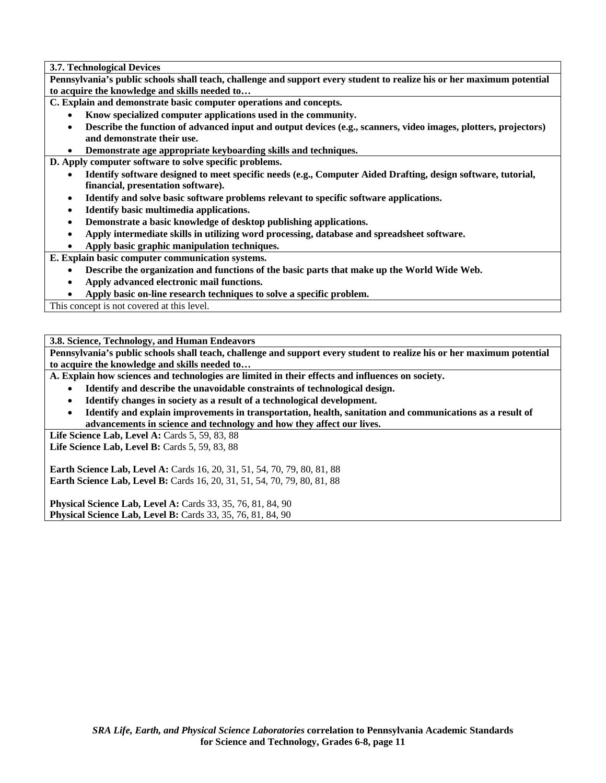**3.7. Technological Devices** 

**Pennsylvania's public schools shall teach, challenge and support every student to realize his or her maximum potential to acquire the knowledge and skills needed to…** 

**C. Explain and demonstrate basic computer operations and concepts.** 

- **Know specialized computer applications used in the community.**
- **Describe the function of advanced input and output devices (e.g., scanners, video images, plotters, projectors) and demonstrate their use.**
- **Demonstrate age appropriate keyboarding skills and techniques.**

**D. Apply computer software to solve specific problems.** 

- **Identify software designed to meet specific needs (e.g., Computer Aided Drafting, design software, tutorial, financial, presentation software).**
- **Identify and solve basic software problems relevant to specific software applications.**
- **Identify basic multimedia applications.**
- **Demonstrate a basic knowledge of desktop publishing applications.**
- **Apply intermediate skills in utilizing word processing, database and spreadsheet software.**

• **Apply basic graphic manipulation techniques.** 

**E. Explain basic computer communication systems.** 

- **Describe the organization and functions of the basic parts that make up the World Wide Web.**
- **Apply advanced electronic mail functions.**
- **Apply basic on-line research techniques to solve a specific problem.**

This concept is not covered at this level.

**3.8. Science, Technology, and Human Endeavors** 

**Pennsylvania's public schools shall teach, challenge and support every student to realize his or her maximum potential to acquire the knowledge and skills needed to…** 

**A. Explain how sciences and technologies are limited in their effects and influences on society.** 

- **Identify and describe the unavoidable constraints of technological design.**
- **Identify changes in society as a result of a technological development.**
- **Identify and explain improvements in transportation, health, sanitation and communications as a result of advancements in science and technology and how they affect our lives.**

Life Science Lab, Level A: Cards 5, 59, 83, 88

Life Science Lab, Level B: Cards 5, 59, 83, 88

**Earth Science Lab, Level A: Cards 16, 20, 31, 51, 54, 70, 79, 80, 81, 88 Earth Science Lab, Level B:** Cards 16, 20, 31, 51, 54, 70, 79, 80, 81, 88

**Physical Science Lab, Level A: Cards 33, 35, 76, 81, 84, 90 Physical Science Lab, Level B:** Cards 33, 35, 76, 81, 84, 90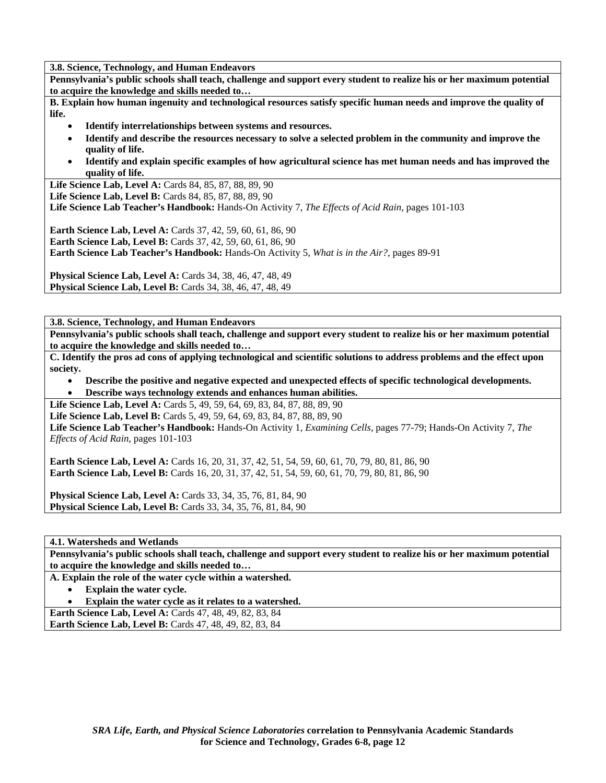**3.8. Science, Technology, and Human Endeavors** 

**Pennsylvania's public schools shall teach, challenge and support every student to realize his or her maximum potential to acquire the knowledge and skills needed to…** 

**B. Explain how human ingenuity and technological resources satisfy specific human needs and improve the quality of life.** 

- **Identify interrelationships between systems and resources.**
- **Identify and describe the resources necessary to solve a selected problem in the community and improve the quality of life.**
- **Identify and explain specific examples of how agricultural science has met human needs and has improved the quality of life.**

Life Science Lab, Level A: Cards 84, 85, 87, 88, 89, 90

**Life Science Lab, Level B:** Cards 84, 85, 87, 88, 89, 90

**Life Science Lab Teacher's Handbook:** Hands-On Activity 7, *The Effects of Acid Rain,* pages 101-103

**Earth Science Lab, Level A: Cards 37, 42, 59, 60, 61, 86, 90 Earth Science Lab, Level B:** Cards 37, 42, 59, 60, 61, 86, 90 **Earth Science Lab Teacher's Handbook:** Hands-On Activity 5, *What is in the Air?,* pages 89-91

**Physical Science Lab, Level A:** Cards 34, 38, 46, 47, 48, 49 **Physical Science Lab, Level B:** Cards 34, 38, 46, 47, 48, 49

**3.8. Science, Technology, and Human Endeavors** 

**Pennsylvania's public schools shall teach, challenge and support every student to realize his or her maximum potential to acquire the knowledge and skills needed to…** 

**C. Identify the pros ad cons of applying technological and scientific solutions to address problems and the effect upon society.** 

- **Describe the positive and negative expected and unexpected effects of specific technological developments.**
- **Describe ways technology extends and enhances human abilities.**

**Life Science Lab, Level A:** Cards 5, 49, 59, 64, 69, 83, 84, 87, 88, 89, 90

Life Science Lab, Level B: Cards 5, 49, 59, 64, 69, 83, 84, 87, 88, 89, 90

**Life Science Lab Teacher's Handbook:** Hands-On Activity 1, *Examining Cells,* pages 77-79; Hands-On Activity 7, *The Effects of Acid Rain,* pages 101-103

**Earth Science Lab, Level A:** Cards 16, 20, 31, 37, 42, 51, 54, 59, 60, 61, 70, 79, 80, 81, 86, 90 **Earth Science Lab, Level B:** Cards 16, 20, 31, 37, 42, 51, 54, 59, 60, 61, 70, 79, 80, 81, 86, 90

**Physical Science Lab, Level A:** Cards 33, 34, 35, 76, 81, 84, 90 **Physical Science Lab, Level B:** Cards 33, 34, 35, 76, 81, 84, 90

**4.1. Watersheds and Wetlands** 

**Pennsylvania's public schools shall teach, challenge and support every student to realize his or her maximum potential to acquire the knowledge and skills needed to…** 

**A. Explain the role of the water cycle within a watershed.** 

• **Explain the water cycle.** 

• **Explain the water cycle as it relates to a watershed.** 

**Earth Science Lab, Level A: Cards 47, 48, 49, 82, 83, 84** 

**Earth Science Lab, Level B:** Cards 47, 48, 49, 82, 83, 84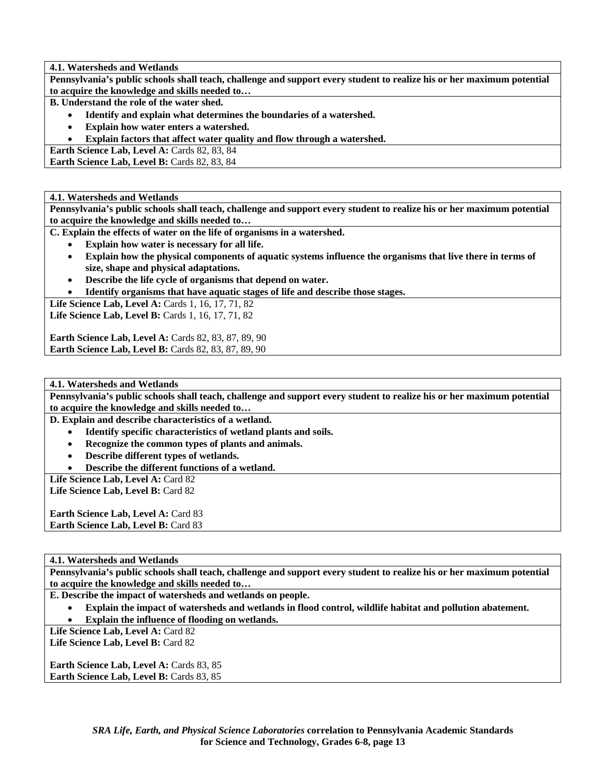**4.1. Watersheds and Wetlands** 

**Pennsylvania's public schools shall teach, challenge and support every student to realize his or her maximum potential to acquire the knowledge and skills needed to…** 

**B. Understand the role of the water shed.** 

- **Identify and explain what determines the boundaries of a watershed.**
- **Explain how water enters a watershed.**
- **Explain factors that affect water quality and flow through a watershed.**

Earth Science Lab, Level A: Cards 82, 83, 84

Earth Science Lab, Level B: Cards 82, 83, 84

## **4.1. Watersheds and Wetlands**

**Pennsylvania's public schools shall teach, challenge and support every student to realize his or her maximum potential to acquire the knowledge and skills needed to…** 

**C. Explain the effects of water on the life of organisms in a watershed.** 

- **Explain how water is necessary for all life.**
- **Explain how the physical components of aquatic systems influence the organisms that live there in terms of size, shape and physical adaptations.**
- **Describe the life cycle of organisms that depend on water.**
- **Identify organisms that have aquatic stages of life and describe those stages.**

**Life Science Lab, Level A: Cards 1, 16, 17, 71, 82 Life Science Lab, Level B: Cards 1, 16, 17, 71, 82** 

**Earth Science Lab, Level A: Cards 82, 83, 87, 89, 90 Earth Science Lab, Level B: Cards 82, 83, 87, 89, 90** 

**4.1. Watersheds and Wetlands** 

**Pennsylvania's public schools shall teach, challenge and support every student to realize his or her maximum potential to acquire the knowledge and skills needed to…** 

**D. Explain and describe characteristics of a wetland.** 

- **Identify specific characteristics of wetland plants and soils.**
- **Recognize the common types of plants and animals.**
- **Describe different types of wetlands.**
- **Describe the different functions of a wetland.**

Life Science Lab, Level A: Card 82

Life Science Lab, Level B: Card 82

Earth Science Lab, Level A: Card 83 **Earth Science Lab, Level B: Card 83** 

# **4.1. Watersheds and Wetlands**

**Pennsylvania's public schools shall teach, challenge and support every student to realize his or her maximum potential to acquire the knowledge and skills needed to…** 

**E. Describe the impact of watersheds and wetlands on people.** 

• **Explain the impact of watersheds and wetlands in flood control, wildlife habitat and pollution abatement.** 

• **Explain the influence of flooding on wetlands.** 

Life Science Lab, Level A: Card 82

Life Science Lab, Level B: Card 82

**Earth Science Lab, Level A: Cards 83, 85 Earth Science Lab, Level B: Cards 83, 85**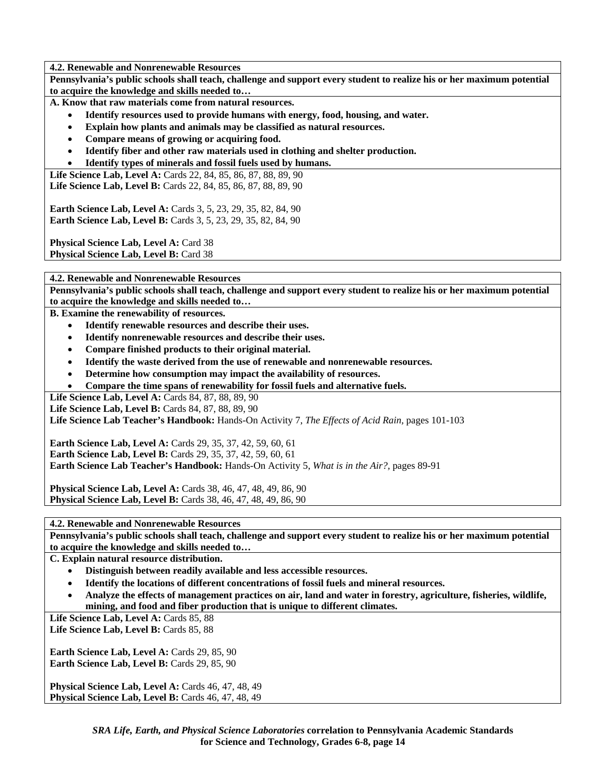**4.2. Renewable and Nonrenewable Resources** 

**Pennsylvania's public schools shall teach, challenge and support every student to realize his or her maximum potential to acquire the knowledge and skills needed to…** 

**A. Know that raw materials come from natural resources.** 

- **Identify resources used to provide humans with energy, food, housing, and water.**
- **Explain how plants and animals may be classified as natural resources.**
- **Compare means of growing or acquiring food.**
- **Identify fiber and other raw materials used in clothing and shelter production.**
- **Identify types of minerals and fossil fuels used by humans.**

**Life Science Lab, Level A:** Cards 22, 84, 85, 86, 87, 88, 89, 90 **Life Science Lab, Level B:** Cards 22, 84, 85, 86, 87, 88, 89, 90

**Earth Science Lab, Level A: Cards 3, 5, 23, 29, 35, 82, 84, 90 Earth Science Lab, Level B:** Cards 3, 5, 23, 29, 35, 82, 84, 90

Physical Science Lab, Level A: Card 38

Physical Science Lab, Level B: Card 38

**4.2. Renewable and Nonrenewable Resources** 

**Pennsylvania's public schools shall teach, challenge and support every student to realize his or her maximum potential to acquire the knowledge and skills needed to…** 

**B. Examine the renewability of resources.** 

- **Identify renewable resources and describe their uses.**
- **Identify nonrenewable resources and describe their uses.**
- **Compare finished products to their original material.**
- **Identify the waste derived from the use of renewable and nonrenewable resources.**
- **Determine how consumption may impact the availability of resources.**
- **Compare the time spans of renewability for fossil fuels and alternative fuels.**

Life Science Lab, Level A: Cards 84, 87, 88, 89, 90

Life Science Lab, Level B: Cards 84, 87, 88, 89, 90

**Life Science Lab Teacher's Handbook:** Hands-On Activity 7, *The Effects of Acid Rain,* pages 101-103

**Earth Science Lab, Level A:** Cards 29, 35, 37, 42, 59, 60, 61 **Earth Science Lab, Level B:** Cards 29, 35, 37, 42, 59, 60, 61 **Earth Science Lab Teacher's Handbook:** Hands-On Activity 5, *What is in the Air?,* pages 89-91

**Physical Science Lab, Level A:** Cards 38, 46, 47, 48, 49, 86, 90 **Physical Science Lab, Level B:** Cards 38, 46, 47, 48, 49, 86, 90

**4.2. Renewable and Nonrenewable Resources** 

**Pennsylvania's public schools shall teach, challenge and support every student to realize his or her maximum potential to acquire the knowledge and skills needed to…** 

**C. Explain natural resource distribution.** 

- **Distinguish between readily available and less accessible resources.**
- **Identify the locations of different concentrations of fossil fuels and mineral resources.**
- **Analyze the effects of management practices on air, land and water in forestry, agriculture, fisheries, wildlife, mining, and food and fiber production that is unique to different climates.**

Life Science Lab, Level A: Cards 85, 88 Life Science Lab, Level B: Cards 85, 88

**Earth Science Lab, Level A: Cards 29, 85, 90** Earth Science Lab, Level B: Cards 29, 85, 90

**Physical Science Lab, Level A: Cards 46, 47, 48, 49 Physical Science Lab, Level B: Cards 46, 47, 48, 49**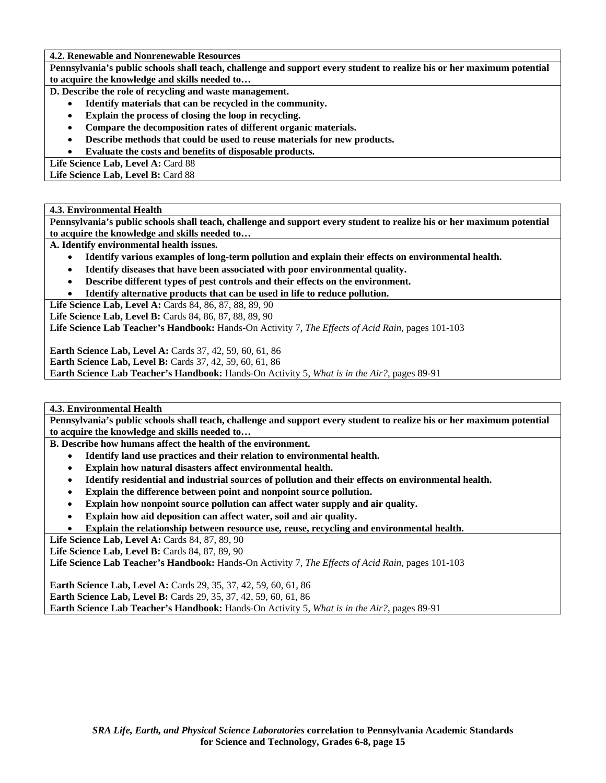**4.2. Renewable and Nonrenewable Resources** 

**Pennsylvania's public schools shall teach, challenge and support every student to realize his or her maximum potential to acquire the knowledge and skills needed to…** 

- **D. Describe the role of recycling and waste management.** 
	- **Identify materials that can be recycled in the community.**
	- **Explain the process of closing the loop in recycling.**
	- **Compare the decomposition rates of different organic materials.**
	- **Describe methods that could be used to reuse materials for new products.**
	- **Evaluate the costs and benefits of disposable products.**

Life Science Lab, Level A: Card 88 Life Science Lab, Level B: Card 88

## **4.3. Environmental Health**

**Pennsylvania's public schools shall teach, challenge and support every student to realize his or her maximum potential to acquire the knowledge and skills needed to…** 

**A. Identify environmental health issues.** 

- **Identify various examples of long-term pollution and explain their effects on environmental health.**
- **Identify diseases that have been associated with poor environmental quality.**
- **Describe different types of pest controls and their effects on the environment.**
- **Identify alternative products that can be used in life to reduce pollution.**

Life Science Lab, Level A: Cards 84, 86, 87, 88, 89, 90

**Life Science Lab, Level B:** Cards 84, 86, 87, 88, 89, 90

**Life Science Lab Teacher's Handbook:** Hands-On Activity 7, *The Effects of Acid Rain,* pages 101-103

**Earth Science Lab, Level A: Cards 37, 42, 59, 60, 61, 86** 

**Earth Science Lab, Level B:** Cards 37, 42, 59, 60, 61, 86

**Earth Science Lab Teacher's Handbook:** Hands-On Activity 5, *What is in the Air?,* pages 89-91

**4.3. Environmental Health** 

**Pennsylvania's public schools shall teach, challenge and support every student to realize his or her maximum potential to acquire the knowledge and skills needed to…** 

**B. Describe how humans affect the health of the environment.** 

- **Identify land use practices and their relation to environmental health.**
- **Explain how natural disasters affect environmental health.**
- **Identify residential and industrial sources of pollution and their effects on environmental health.**
- **Explain the difference between point and nonpoint source pollution.**
- **Explain how nonpoint source pollution can affect water supply and air quality.**
- **Explain how aid deposition can affect water, soil and air quality.**
- **Explain the relationship between resource use, reuse, recycling and environmental health.**

**Life Science Lab, Level A: Cards 84, 87, 89, 90** 

**Life Science Lab, Level B: Cards 84, 87, 89, 90** 

**Life Science Lab Teacher's Handbook:** Hands-On Activity 7, *The Effects of Acid Rain,* pages 101-103

**Earth Science Lab, Level A:** Cards 29, 35, 37, 42, 59, 60, 61, 86 **Earth Science Lab, Level B:** Cards 29, 35, 37, 42, 59, 60, 61, 86 **Earth Science Lab Teacher's Handbook:** Hands-On Activity 5, *What is in the Air?,* pages 89-91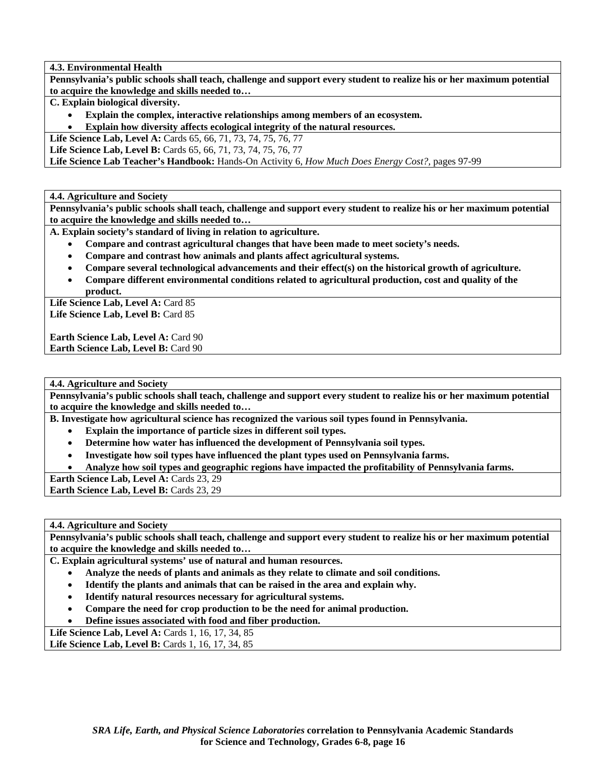**4.3. Environmental Health** 

**Pennsylvania's public schools shall teach, challenge and support every student to realize his or her maximum potential to acquire the knowledge and skills needed to…** 

**C. Explain biological diversity.** 

- **Explain the complex, interactive relationships among members of an ecosystem.**
- **Explain how diversity affects ecological integrity of the natural resources.**

**Life Science Lab, Level A:** Cards 65, 66, 71, 73, 74, 75, 76, 77

**Life Science Lab, Level B:** Cards 65, 66, 71, 73, 74, 75, 76, 77

**Life Science Lab Teacher's Handbook:** Hands-On Activity 6, *How Much Does Energy Cost?,* pages 97-99

**4.4. Agriculture and Society** 

**Pennsylvania's public schools shall teach, challenge and support every student to realize his or her maximum potential to acquire the knowledge and skills needed to…** 

**A. Explain society's standard of living in relation to agriculture.** 

- **Compare and contrast agricultural changes that have been made to meet society's needs.**
- **Compare and contrast how animals and plants affect agricultural systems.**
- **Compare several technological advancements and their effect(s) on the historical growth of agriculture.**
- **Compare different environmental conditions related to agricultural production, cost and quality of the product.**

Life Science Lab, Level A: Card 85 Life Science Lab, Level B: Card 85

**Earth Science Lab, Level A: Card 90 Earth Science Lab, Level B: Card 90** 

**4.4. Agriculture and Society** 

**Pennsylvania's public schools shall teach, challenge and support every student to realize his or her maximum potential to acquire the knowledge and skills needed to…** 

**B. Investigate how agricultural science has recognized the various soil types found in Pennsylvania.** 

- **Explain the importance of particle sizes in different soil types.**
- **Determine how water has influenced the development of Pennsylvania soil types.**
- **Investigate how soil types have influenced the plant types used on Pennsylvania farms.**
- **Analyze how soil types and geographic regions have impacted the profitability of Pennsylvania farms.**

Earth Science Lab, Level A: Cards 23, 29

**Earth Science Lab, Level B: Cards 23, 29** 

**4.4. Agriculture and Society** 

**Pennsylvania's public schools shall teach, challenge and support every student to realize his or her maximum potential to acquire the knowledge and skills needed to…** 

**C. Explain agricultural systems' use of natural and human resources.** 

- **Analyze the needs of plants and animals as they relate to climate and soil conditions.**
- **Identify the plants and animals that can be raised in the area and explain why.**
- **Identify natural resources necessary for agricultural systems.**
- **Compare the need for crop production to be the need for animal production.**

• **Define issues associated with food and fiber production.** 

**Life Science Lab, Level A: Cards 1, 16, 17, 34, 85** 

**Life Science Lab, Level B:** Cards 1, 16, 17, 34, 85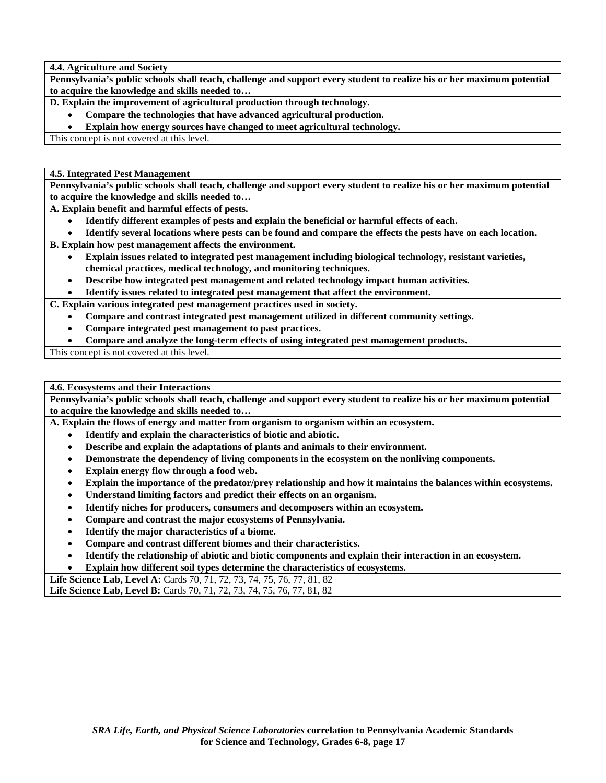**4.4. Agriculture and Society** 

**Pennsylvania's public schools shall teach, challenge and support every student to realize his or her maximum potential to acquire the knowledge and skills needed to…** 

**D. Explain the improvement of agricultural production through technology.** 

• **Compare the technologies that have advanced agricultural production.** 

• **Explain how energy sources have changed to meet agricultural technology.** 

This concept is not covered at this level.

**4.5. Integrated Pest Management** 

**Pennsylvania's public schools shall teach, challenge and support every student to realize his or her maximum potential to acquire the knowledge and skills needed to…** 

**A. Explain benefit and harmful effects of pests.** 

- **Identify different examples of pests and explain the beneficial or harmful effects of each.**
- **Identify several locations where pests can be found and compare the effects the pests have on each location.**

**B. Explain how pest management affects the environment.** 

- **Explain issues related to integrated pest management including biological technology, resistant varieties, chemical practices, medical technology, and monitoring techniques.**
- **Describe how integrated pest management and related technology impact human activities.**

• **Identify issues related to integrated pest management that affect the environment.** 

**C. Explain various integrated pest management practices used in society.** 

- **Compare and contrast integrated pest management utilized in different community settings.**
- **Compare integrated pest management to past practices.**
- **Compare and analyze the long-term effects of using integrated pest management products.**

This concept is not covered at this level.

**4.6. Ecosystems and their Interactions** 

**Pennsylvania's public schools shall teach, challenge and support every student to realize his or her maximum potential to acquire the knowledge and skills needed to…** 

**A. Explain the flows of energy and matter from organism to organism within an ecosystem.** 

- **Identify and explain the characteristics of biotic and abiotic.**
- **Describe and explain the adaptations of plants and animals to their environment.**
- **Demonstrate the dependency of living components in the ecosystem on the nonliving components.**
- **Explain energy flow through a food web.**
- **Explain the importance of the predator/prey relationship and how it maintains the balances within ecosystems.**
- **Understand limiting factors and predict their effects on an organism.**
- **Identify niches for producers, consumers and decomposers within an ecosystem.**
- **Compare and contrast the major ecosystems of Pennsylvania.**
- **Identify the major characteristics of a biome.**
- **Compare and contrast different biomes and their characteristics.**
- **Identify the relationship of abiotic and biotic components and explain their interaction in an ecosystem.**
- **Explain how different soil types determine the characteristics of ecosystems.**

**Life Science Lab, Level A:** Cards 70, 71, 72, 73, 74, 75, 76, 77, 81, 82 Life Science Lab, Level B: Cards 70, 71, 72, 73, 74, 75, 76, 77, 81, 82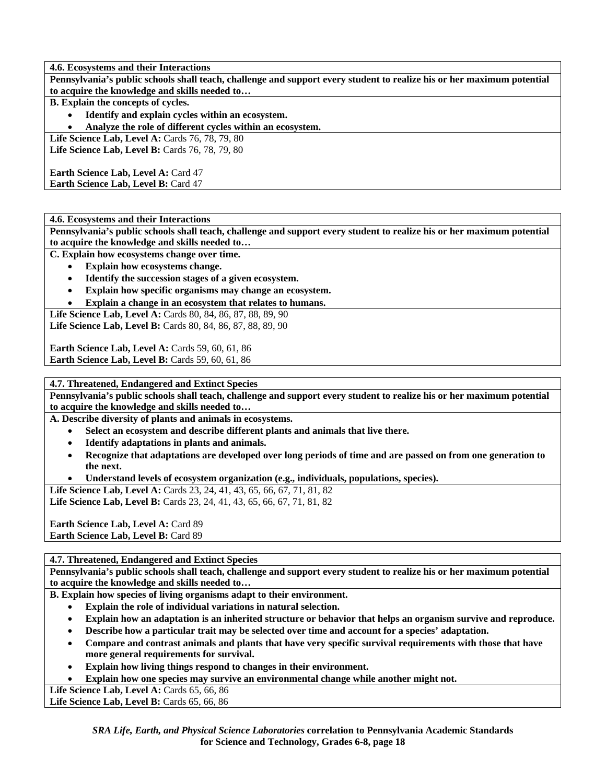**4.6. Ecosystems and their Interactions** 

**Pennsylvania's public schools shall teach, challenge and support every student to realize his or her maximum potential to acquire the knowledge and skills needed to…** 

**B. Explain the concepts of cycles.** 

• **Identify and explain cycles within an ecosystem.** 

• **Analyze the role of different cycles within an ecosystem.** 

**Life Science Lab, Level A: Cards 76, 78, 79, 80** Life Science Lab, Level B: Cards 76, 78, 79, 80

**Earth Science Lab, Level A: Card 47 Earth Science Lab, Level B: Card 47** 

**4.6. Ecosystems and their Interactions** 

**Pennsylvania's public schools shall teach, challenge and support every student to realize his or her maximum potential to acquire the knowledge and skills needed to…** 

**C. Explain how ecosystems change over time.** 

- **Explain how ecosystems change.**
- **Identify the succession stages of a given ecosystem.**
- **Explain how specific organisms may change an ecosystem.**
- **Explain a change in an ecosystem that relates to humans.**

**Life Science Lab, Level A:** Cards 80, 84, 86, 87, 88, 89, 90 Life Science Lab, Level B: Cards 80, 84, 86, 87, 88, 89, 90

**Earth Science Lab, Level A: Cards 59, 60, 61, 86 Earth Science Lab, Level B: Cards 59, 60, 61, 86** 

**4.7. Threatened, Endangered and Extinct Species** 

**Pennsylvania's public schools shall teach, challenge and support every student to realize his or her maximum potential to acquire the knowledge and skills needed to…** 

**A. Describe diversity of plants and animals in ecosystems.** 

- **Select an ecosystem and describe different plants and animals that live there.**
- **Identify adaptations in plants and animals.**
- **Recognize that adaptations are developed over long periods of time and are passed on from one generation to the next.**
- **Understand levels of ecosystem organization (e.g., individuals, populations, species).**

Life Science Lab, Level A: Cards 23, 24, 41, 43, 65, 66, 67, 71, 81, 82 Life Science Lab, Level B: Cards 23, 24, 41, 43, 65, 66, 67, 71, 81, 82

**Earth Science Lab, Level A: Card 89 Earth Science Lab, Level B: Card 89** 

**4.7. Threatened, Endangered and Extinct Species** 

**Pennsylvania's public schools shall teach, challenge and support every student to realize his or her maximum potential to acquire the knowledge and skills needed to…** 

**B. Explain how species of living organisms adapt to their environment.** 

- **Explain the role of individual variations in natural selection.**
- **Explain how an adaptation is an inherited structure or behavior that helps an organism survive and reproduce.**
- **Describe how a particular trait may be selected over time and account for a species' adaptation.**
- **Compare and contrast animals and plants that have very specific survival requirements with those that have more general requirements for survival.**
- **Explain how living things respond to changes in their environment.**
- **Explain how one species may survive an environmental change while another might not.**

Life Science Lab, Level A: Cards **65**, **66**, **86** 

Life Science Lab, Level B: Cards 65, 66, 86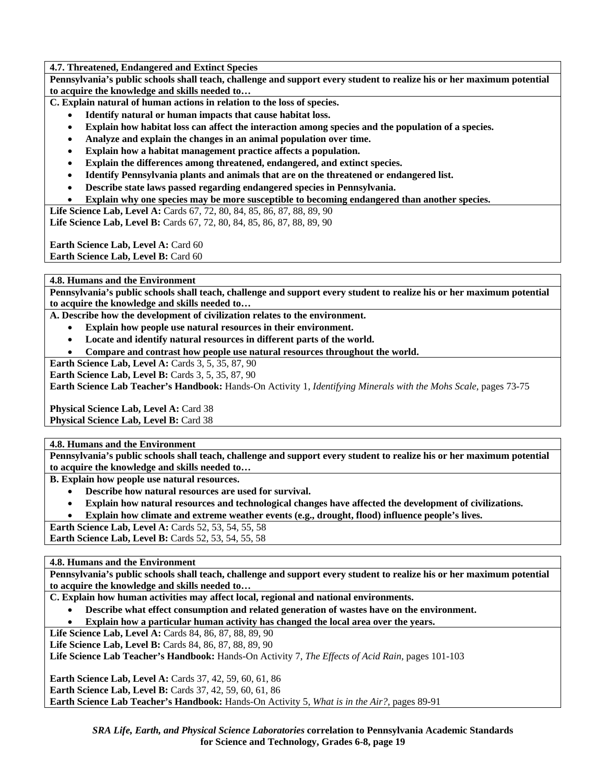**4.7. Threatened, Endangered and Extinct Species** 

**Pennsylvania's public schools shall teach, challenge and support every student to realize his or her maximum potential to acquire the knowledge and skills needed to…** 

**C. Explain natural of human actions in relation to the loss of species.** 

- **Identify natural or human impacts that cause habitat loss.**
- **Explain how habitat loss can affect the interaction among species and the population of a species.**
- **Analyze and explain the changes in an animal population over time.**
- **Explain how a habitat management practice affects a population.**
- **Explain the differences among threatened, endangered, and extinct species.**
- **Identify Pennsylvania plants and animals that are on the threatened or endangered list.**
- **Describe state laws passed regarding endangered species in Pennsylvania.**
- **Explain why one species may be more susceptible to becoming endangered than another species.**

Life Science Lab, Level A: Cards 67, 72, 80, 84, 85, 86, 87, 88, 89, 90 Life Science Lab, Level B: Cards 67, 72, 80, 84, 85, 86, 87, 88, 89, 90

**Earth Science Lab, Level A: Card 60 Earth Science Lab, Level B: Card 60** 

**4.8. Humans and the Environment** 

**Pennsylvania's public schools shall teach, challenge and support every student to realize his or her maximum potential to acquire the knowledge and skills needed to…** 

**A. Describe how the development of civilization relates to the environment.** 

- **Explain how people use natural resources in their environment.**
- **Locate and identify natural resources in different parts of the world.**
- **Compare and contrast how people use natural resources throughout the world.**

**Earth Science Lab, Level A: Cards 3, 5, 35, 87, 90** 

**Earth Science Lab, Level B: Cards 3, 5, 35, 87, 90** 

**Earth Science Lab Teacher's Handbook:** Hands-On Activity 1, *Identifying Minerals with the Mohs Scale,* pages 73-75

**Physical Science Lab, Level A: Card 38 Physical Science Lab, Level B: Card 38** 

**4.8. Humans and the Environment** 

**Pennsylvania's public schools shall teach, challenge and support every student to realize his or her maximum potential to acquire the knowledge and skills needed to…** 

**B. Explain how people use natural resources.** 

- **Describe how natural resources are used for survival.**
- **Explain how natural resources and technological changes have affected the development of civilizations.**
- **Explain how climate and extreme weather events (e.g., drought, flood) influence people's lives.**

**Earth Science Lab, Level A: Cards 52, 53, 54, 55, 58** 

**Earth Science Lab, Level B:** Cards 52, 53, 54, 55, 58

**4.8. Humans and the Environment** 

**Pennsylvania's public schools shall teach, challenge and support every student to realize his or her maximum potential to acquire the knowledge and skills needed to…** 

**C. Explain how human activities may affect local, regional and national environments.** 

• **Describe what effect consumption and related generation of wastes have on the environment.** 

• **Explain how a particular human activity has changed the local area over the years.** 

Life Science Lab, Level A: Cards 84, 86, 87, 88, 89, 90

**Life Science Lab, Level B: Cards 84, 86, 87, 88, 89, 90** 

**Life Science Lab Teacher's Handbook:** Hands-On Activity 7, *The Effects of Acid Rain,* pages 101-103

**Earth Science Lab, Level A: Cards 37, 42, 59, 60, 61, 86 Earth Science Lab, Level B:** Cards 37, 42, 59, 60, 61, 86 **Earth Science Lab Teacher's Handbook:** Hands-On Activity 5, *What is in the Air?,* pages 89-91